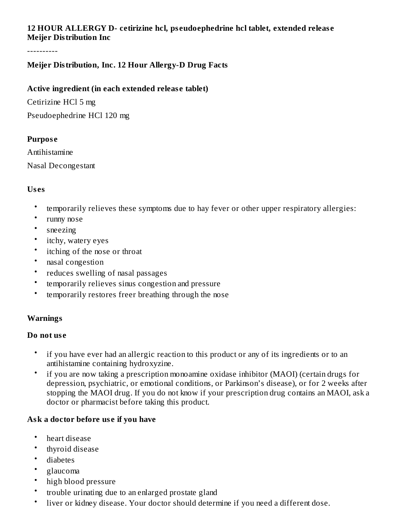## **12 HOUR ALLERGY D- cetirizine hcl, ps eudoephedrine hcl tablet, extended releas e Meijer Distribution Inc**

----------

## **Meijer Distribution, Inc. 12 Hour Allergy-D Drug Facts**

#### **Active ingredient (in each extended releas e tablet)**

Cetirizine HCl 5 mg Pseudoephedrine HCl 120 mg

#### **Purpos e**

Antihistamine Nasal Decongestant

#### **Us es**

- temporarily relieves these symptoms due to hay fever or other upper respiratory allergies:
- runny nose
- sneezing
- itchy, watery eyes
- itching of the nose or throat
- nasal congestion
- reduces swelling of nasal passages
- temporarily relieves sinus congestion and pressure
- temporarily restores freer breathing through the nose

#### **Warnings**

#### **Do not us e**

- if you have ever had an allergic reaction to this product or any of its ingredients or to an antihistamine containing hydroxyzine.
- if you are now taking a prescription monoamine oxidase inhibitor (MAOI) (certain drugs for depression, psychiatric, or emotional conditions, or Parkinson's disease), or for 2 weeks after stopping the MAOI drug. If you do not know if your prescription drug contains an MAOI, ask a doctor or pharmacist before taking this product.

#### **Ask a doctor before us e if you have**

- heart disease
- thyroid disease
- diabetes
- glaucoma
- high blood pressure
- trouble urinating due to an enlarged prostate gland
- liver or kidney disease. Your doctor should determine if you need a different dose.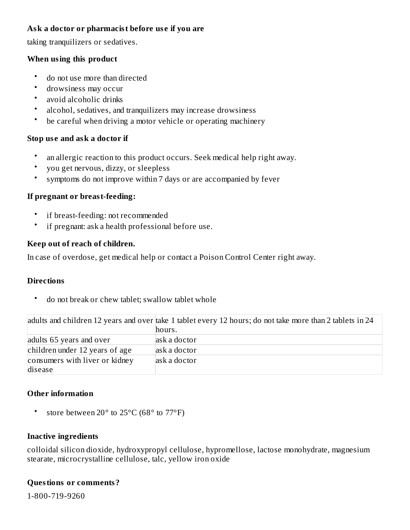## **Ask a doctor or pharmacist before us e if you are**

taking tranquilizers or sedatives.

#### **When using this product**

- do not use more than directed
- drowsiness may occur
- avoid alcoholic drinks
- alcohol, sedatives, and tranquilizers may increase drowsiness
- be careful when driving a motor vehicle or operating machinery

## **Stop us e and ask a doctor if**

- an allergic reaction to this product occurs. Seek medical help right away.
- you get nervous, dizzy, or sleepless
- symptoms do not improve within 7 days or are accompanied by fever

## **If pregnant or breast-feeding:**

- if breast-feeding: not recommended
- if pregnant: ask a health professional before use.

#### **Keep out of reach of children.**

In case of overdose, get medical help or contact a Poison Control Center right away.

#### **Directions**

• do not break or chew tablet; swallow tablet whole

|                                | adults and children 12 years and over take 1 tablet every 12 hours; do not take more than 2 tablets in 24 |
|--------------------------------|-----------------------------------------------------------------------------------------------------------|
|                                | hours.                                                                                                    |
| adults 65 years and over       | ask a doctor                                                                                              |
| children under 12 years of age | ask a doctor                                                                                              |
| consumers with liver or kidney | ask a doctor                                                                                              |
| disease                        |                                                                                                           |

## **Other information**

• store between 20° to 25°C (68° to 77°F)

## **Inactive ingredients**

colloidal silicon dioxide, hydroxypropyl cellulose, hypromellose, lactose monohydrate, magnesium stearate, microcrystalline cellulose, talc, yellow iron oxide

#### **Questions or comments?**

1-800-719-9260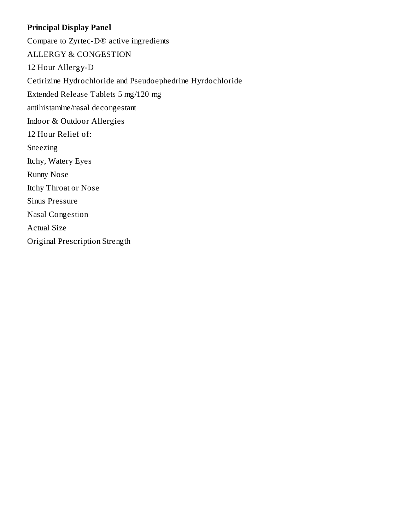## **Principal Display Panel**

Compare to Zyrtec-D® active ingredients ALLERGY & CONGESTION 12 Hour Allergy-D Cetirizine Hydrochloride and Pseudoephedrine Hyrdochloride Extended Release Tablets 5 mg/120 mg antihistamine/nasal decongestant Indoor & Outdoor Allergies 12 Hour Relief of: Sneezing Itchy, Watery Eyes Runny Nose Itchy Throat or Nose Sinus Pressure Nasal Congestion Actual Size Original Prescription Strength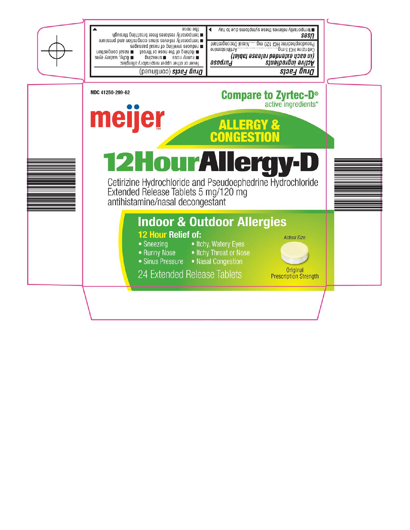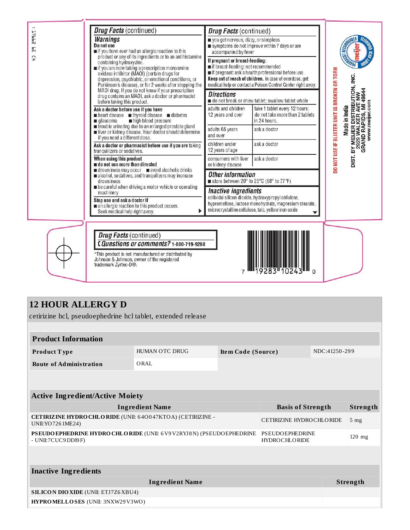| <b>J7655</b><br>똙<br>$\overline{1}$ | <b>Drug Facts (continued)</b><br><b>Warnings</b><br>Do not use<br>if you have ever had an allergic reaction to this<br>product or any of its ingredients or to an antihistamine<br>containing hydroxyzine.<br>∎if you are now taking a prescription monoamine<br>oxidase inhibitor (MAOI) (certain drugs for<br>depression, psychiatric, or emotional conditions, or<br>Parkinson's disease), or for 2 weeks after stopping the | <b>Drug Facts</b> (continued)<br>vou get nervous, dizzy, or sleepless<br>accompanied by fever<br>If pregnant or breast-feeding:<br>if breast-feeding: not recommended                               | symptoms do not improve within 7 days or are<br>if pregnant: ask a health professional before use.<br>Keep out of reach of children. In case of overdose, get<br>medical help or contact a Poison Control Center right away. | <b>CAST REP</b><br>DO NOT USE IF BLISTER UNIT IS BROKEN OR TORN    |
|-------------------------------------|---------------------------------------------------------------------------------------------------------------------------------------------------------------------------------------------------------------------------------------------------------------------------------------------------------------------------------------------------------------------------------------------------------------------------------|-----------------------------------------------------------------------------------------------------------------------------------------------------------------------------------------------------|------------------------------------------------------------------------------------------------------------------------------------------------------------------------------------------------------------------------------|--------------------------------------------------------------------|
|                                     | MAOI drug. If you do not know if your prescription<br>drug contains an MAOI, ask a doctor or pharmacist<br>before taking this product.                                                                                                                                                                                                                                                                                          | <b>Directions</b><br>do not break or chew tablet; swallow tablet whole                                                                                                                              | MI 49544                                                                                                                                                                                                                     |                                                                    |
|                                     | Ask a doctor before use if you have<br>neart disease thyroid disease diabetes<br>high blood pressure<br>alaucoma                                                                                                                                                                                                                                                                                                                | adults and children<br>12 years and over                                                                                                                                                            | take 1 tablet every 12 hours;<br>do not take more than 2 tablets<br>in 24 hours.                                                                                                                                             | DISTRIBUTION, INC.<br>com<br><b>AVE</b><br>Made in India           |
|                                     | rouble urinating due to an enlarged prostate gland<br>liver or kidney disease. Your doctor should determine<br>if you need a different dose.                                                                                                                                                                                                                                                                                    | adults 65 years<br>and over                                                                                                                                                                         | ask a doctor                                                                                                                                                                                                                 | www.meijer.<br>DIST. BY MELJER DIST<br>2929 WALKER<br>GRAND RAPIDS |
|                                     | Ask a doctor or pharmacist before use if you are taking<br>tranquilizers or sedatives.                                                                                                                                                                                                                                                                                                                                          | children under<br>12 years of age                                                                                                                                                                   | ask a doctor                                                                                                                                                                                                                 |                                                                    |
|                                     | When using this product<br>of do not use more than directed<br>drowsiness may occur avoid alcoholic drinks<br>alcohol, sedatives, and tranquilizers may increase<br>drowsiness                                                                                                                                                                                                                                                  | consumers with liver<br>or kidney disease                                                                                                                                                           | ask a doctor                                                                                                                                                                                                                 |                                                                    |
|                                     |                                                                                                                                                                                                                                                                                                                                                                                                                                 | <b>Other information</b><br>■ store between 20° to 25°C (68° to 77°F)                                                                                                                               |                                                                                                                                                                                                                              |                                                                    |
|                                     | be careful when driving a motor vehicle or operating<br>machinery<br>Stop use and ask a doctor if<br>an allergic reaction to this product occurs.<br>Seek medical help right away.                                                                                                                                                                                                                                              | <b>Inactive ingredients</b><br>colloidal silicon dioxide, hydroxypropyl cellulose,<br>hypromellose, lactose monohydrate, magnesium stearate,<br>microcrystalline cellulose, talc, yellow iron oxide |                                                                                                                                                                                                                              |                                                                    |
|                                     | <b>Drug Facts</b> (continued)<br>CQuestions or comments? 1-800-719-9260                                                                                                                                                                                                                                                                                                                                                         |                                                                                                                                                                                                     |                                                                                                                                                                                                                              |                                                                    |

UI 0

024

 $\overline{7}$ 

283

## **12 HOUR ALLERGY D**

cetirizine hcl, pseudoephedrine hcl tablet, extended release

\*This product is not manufactured or distributed by<br>Johnson & Johnson, owner of the registered<br>trademark Zyrtec-D®.

| <b>Product Information</b>                                                                    |                        |                    |                                                |  |                 |  |
|-----------------------------------------------------------------------------------------------|------------------------|--------------------|------------------------------------------------|--|-----------------|--|
| Product Type                                                                                  | HUMAN OTC DRUG         | Item Code (Source) |                                                |  | NDC:41250-299   |  |
| <b>Route of Administration</b>                                                                | ORAL                   |                    |                                                |  |                 |  |
|                                                                                               |                        |                    |                                                |  |                 |  |
| <b>Active Ingredient/Active Moiety</b>                                                        |                        |                    |                                                |  |                 |  |
|                                                                                               | <b>Ingredient Name</b> |                    | <b>Basis of Strength</b>                       |  | Strength        |  |
| CETIRIZINE HYDRO CHLORIDE (UNII: 640047KTOA) (CETIRIZINE -<br>UNII: YO 726 1ME24)             |                        |                    | <b>CETIRIZINE HYDROCHLORIDE</b>                |  | 5 <sub>mg</sub> |  |
| PSEUDO EPHEDRINE HYDRO CHLORIDE (UNII: 6 V9 V2RYJ8 N) (PSEUDO EPHEDRINE<br>- UNII:7CUC9DDI9F) |                        |                    | <b>PSEUDOEPHEDRINE</b><br><b>HYDROCHLORIDE</b> |  | $120$ mg        |  |
|                                                                                               |                        |                    |                                                |  |                 |  |
| <b>Inactive Ingredients</b>                                                                   |                        |                    |                                                |  |                 |  |
| <b>Ingredient Name</b>                                                                        |                        |                    |                                                |  | <b>Strength</b> |  |
| <b>SILICON DIO XIDE (UNII: ETJ7Z6 XBU4)</b>                                                   |                        |                    |                                                |  |                 |  |
| HYPROMELLOSES (UNII: 3NXW29V3WO)                                                              |                        |                    |                                                |  |                 |  |